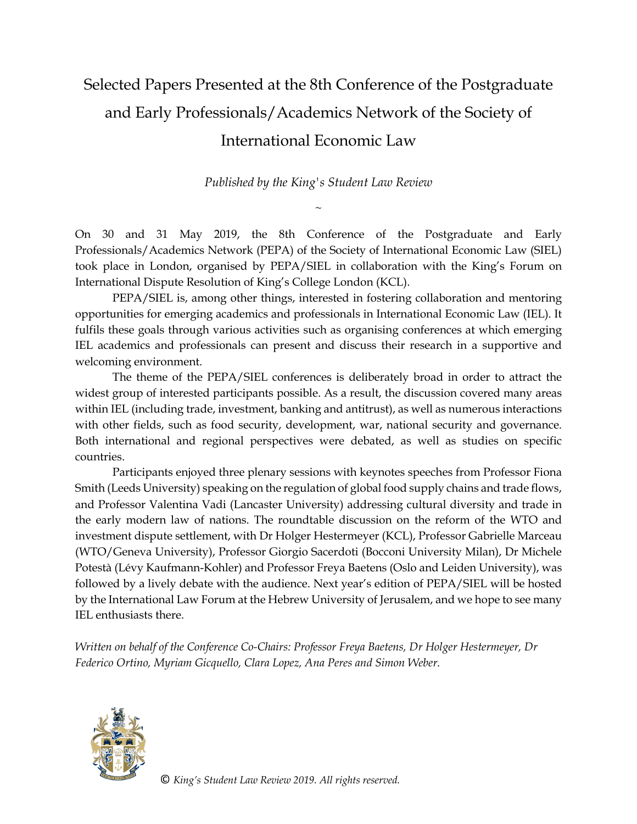## Selected Papers Presented at the 8th Conference of the Postgraduate and Early Professionals/Academics Network of the Society of International Economic Law

*Published by the King's Student Law Review*

 $\sim$ 

On 30 and 31 May 2019, the 8th Conference of the Postgraduate and Early Professionals/Academics Network (PEPA) of the Society of International Economic Law (SIEL) took place in London, organised by PEPA/SIEL in collaboration with the King's Forum on International Dispute Resolution of King's College London (KCL).

PEPA/SIEL is, among other things, interested in fostering collaboration and mentoring opportunities for emerging academics and professionals in International Economic Law (IEL). It fulfils these goals through various activities such as organising conferences at which emerging IEL academics and professionals can present and discuss their research in a supportive and welcoming environment.

The theme of the PEPA/SIEL conferences is deliberately broad in order to attract the widest group of interested participants possible. As a result, the discussion covered many areas within IEL (including trade, investment, banking and antitrust), as well as numerous interactions with other fields, such as food security, development, war, national security and governance. Both international and regional perspectives were debated, as well as studies on specific countries.

Participants enjoyed three plenary sessions with keynotes speeches from Professor Fiona Smith (Leeds University) speaking on the regulation of global food supply chains and trade flows, and Professor Valentina Vadi (Lancaster University) addressing cultural diversity and trade in the early modern law of nations. The roundtable discussion on the reform of the WTO and investment dispute settlement, with Dr Holger Hestermeyer (KCL), Professor Gabrielle Marceau (WTO/Geneva University), Professor Giorgio Sacerdoti (Bocconi University Milan), Dr Michele Potestà (Lévy Kaufmann-Kohler) and Professor Freya Baetens (Oslo and Leiden University), was followed by a lively debate with the audience. Next year's edition of PEPA/SIEL will be hosted by the International Law Forum at the Hebrew University of Jerusalem, and we hope to see many IEL enthusiasts there.

*Written on behalf of the Conference Co-Chairs: Professor Freya Baetens, Dr Holger Hestermeyer, Dr Federico Ortino, Myriam Gicquello, Clara Lopez, Ana Peres and Simon Weber.*



© *King's Student Law Review 2019. All rights reserved.*